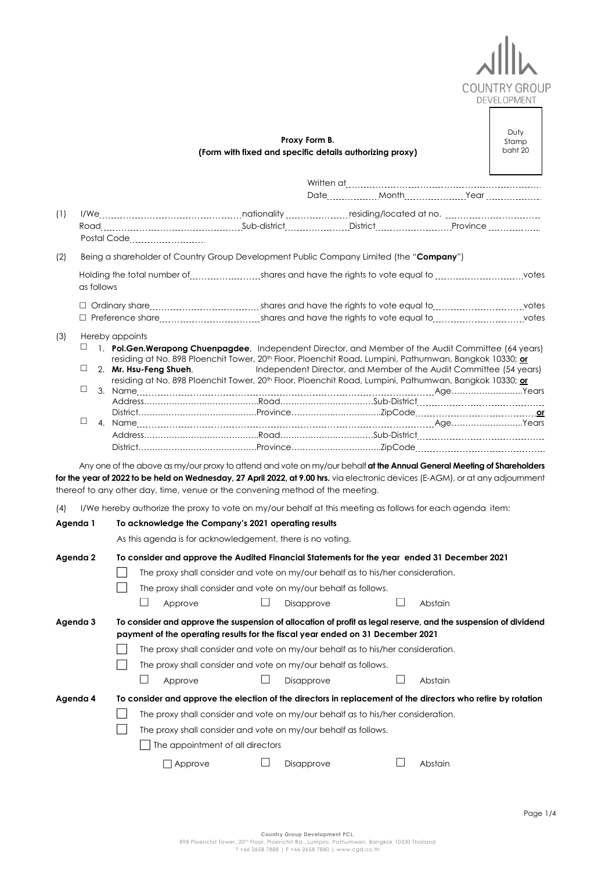

|     |                                     |                                                                                                                                                                                                                                                                                                                                                                           | Proxy Form B.<br>(Form with fixed and specific details authorizing proxy)                                                                                       |              |         | Duty<br>Stamp<br>baht 20 |
|-----|-------------------------------------|---------------------------------------------------------------------------------------------------------------------------------------------------------------------------------------------------------------------------------------------------------------------------------------------------------------------------------------------------------------------------|-----------------------------------------------------------------------------------------------------------------------------------------------------------------|--------------|---------|--------------------------|
|     |                                     |                                                                                                                                                                                                                                                                                                                                                                           |                                                                                                                                                                 |              |         |                          |
| (1) |                                     | Postal Code <b>Exercise Servers</b>                                                                                                                                                                                                                                                                                                                                       |                                                                                                                                                                 |              |         |                          |
| (2) |                                     | Being a shareholder of Country Group Development Public Company Limited (the "Company")                                                                                                                                                                                                                                                                                   |                                                                                                                                                                 |              |         |                          |
|     | as follows                          |                                                                                                                                                                                                                                                                                                                                                                           |                                                                                                                                                                 |              |         |                          |
|     |                                     |                                                                                                                                                                                                                                                                                                                                                                           |                                                                                                                                                                 |              |         |                          |
|     |                                     |                                                                                                                                                                                                                                                                                                                                                                           |                                                                                                                                                                 |              |         |                          |
| (3) | Hereby appoints<br>⊔<br>⊔<br>□<br>□ | 1. Pol.Gen.Werapong Chuenpagdee, Independent Director, and Member of the Audit Committee (64 years)<br>residing at No. 898 Ploenchit Tower, 20 <sup>th</sup> Floor, Ploenchit Road, Lumpini, Pathumwan, Bangkok 10330; or<br>2. Mr. Hsu-Feng Shueh,<br>residing at No. 898 Ploenchit Tower, 20 <sup>th</sup> Floor, Ploenchit Road, Lumpini, Pathumwan, Bangkok 10330; or | Independent Director, and Member of the Audit Committee (54 years)                                                                                              |              |         |                          |
|     |                                     | Any one of the above as my/our proxy to attend and vote on my/our behalf at the Annual General Meeting of Shareholders<br>for the year of 2022 to be held on Wednesday, 27 April 2022, at 9.00 hrs. via electronic devices (E-AGM), or at any adjournment<br>thereof to any other day, time, venue or the convening method of the meeting.                                |                                                                                                                                                                 |              |         |                          |
| (4) | Agenda 1                            | I/We hereby authorize the proxy to vote on my/our behalf at this meeting as follows for each agenda item:<br>To acknowledge the Company's 2021 operating results                                                                                                                                                                                                          |                                                                                                                                                                 |              |         |                          |
|     |                                     | As this agenda is for acknowledgement, there is no voting.                                                                                                                                                                                                                                                                                                                |                                                                                                                                                                 |              |         |                          |
|     | Agenda 2                            | To consider and approve the Audited Financial Statements for the year ended 31 December 2021<br>Approve                                                                                                                                                                                                                                                                   | The proxy shall consider and vote on my/our behalf as to his/her consideration.<br>The proxy shall consider and vote on my/our behalf as follows.<br>Disapprove |              | Abstain |                          |
|     | Agenda 3                            | To consider and approve the suspension of allocation of profit as legal reserve, and the suspension of dividend<br>payment of the operating results for the fiscal year ended on 31 December 2021<br>The proxy shall consider and vote on my/our behalf as follows.<br>$\vert \ \ \vert$<br>Approve                                                                       | The proxy shall consider and vote on my/our behalf as to his/her consideration.<br>Disapprove                                                                   | $\mathsf{L}$ | Abstain |                          |
|     | Agenda 4                            | To consider and approve the election of the directors in replacement of the directors who retire by rotation                                                                                                                                                                                                                                                              |                                                                                                                                                                 |              |         |                          |
|     |                                     | The proxy shall consider and vote on my/our behalf as follows.<br>The appointment of all directors<br>$\Box$ Approve                                                                                                                                                                                                                                                      | The proxy shall consider and vote on my/our behalf as to his/her consideration.<br>Disapprove                                                                   |              | Abstain |                          |
|     |                                     |                                                                                                                                                                                                                                                                                                                                                                           |                                                                                                                                                                 |              |         |                          |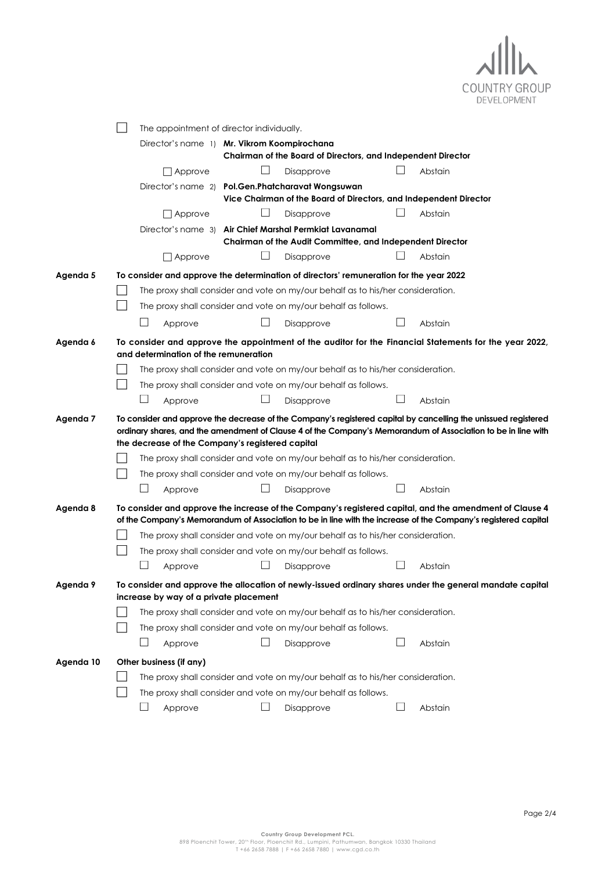

|           |  |                                                                                 | The appointment of director individually.                                       |  |   |                                                                                                     |              |         |                                                                                                                                                                                                                                |
|-----------|--|---------------------------------------------------------------------------------|---------------------------------------------------------------------------------|--|---|-----------------------------------------------------------------------------------------------------|--------------|---------|--------------------------------------------------------------------------------------------------------------------------------------------------------------------------------------------------------------------------------|
|           |  |                                                                                 | Director's name 1) Mr. Vikrom Koompirochana                                     |  |   | Chairman of the Board of Directors, and Independent Director                                        |              |         |                                                                                                                                                                                                                                |
|           |  |                                                                                 | Approve                                                                         |  |   | Disapprove                                                                                          |              | Abstain |                                                                                                                                                                                                                                |
|           |  |                                                                                 | Director's name 2)                                                              |  |   | Pol.Gen.Phatcharavat Wongsuwan<br>Vice Chairman of the Board of Directors, and Independent Director |              |         |                                                                                                                                                                                                                                |
|           |  |                                                                                 | Approve                                                                         |  |   | Disapprove                                                                                          |              | Abstain |                                                                                                                                                                                                                                |
|           |  |                                                                                 | Director's name 31                                                              |  |   | Air Chief Marshal Permkiat Lavanamal<br>Chairman of the Audit Committee, and Independent Director   |              |         |                                                                                                                                                                                                                                |
|           |  |                                                                                 | Approve                                                                         |  | ப | Disapprove                                                                                          |              | Abstain |                                                                                                                                                                                                                                |
| Agenda 5  |  |                                                                                 |                                                                                 |  |   | To consider and approve the determination of directors' remuneration for the year 2022              |              |         |                                                                                                                                                                                                                                |
|           |  |                                                                                 | The proxy shall consider and vote on my/our behalf as to his/her consideration. |  |   |                                                                                                     |              |         |                                                                                                                                                                                                                                |
|           |  |                                                                                 |                                                                                 |  |   | The proxy shall consider and vote on my/our behalf as follows.                                      |              |         |                                                                                                                                                                                                                                |
|           |  |                                                                                 | Approve                                                                         |  |   | Disapprove                                                                                          |              | Abstain |                                                                                                                                                                                                                                |
| Agenda 6  |  |                                                                                 | and determination of the remuneration                                           |  |   |                                                                                                     |              |         | To consider and approve the appointment of the auditor for the Financial Statements for the year 2022,                                                                                                                         |
|           |  | The proxy shall consider and vote on my/our behalf as to his/her consideration. |                                                                                 |  |   |                                                                                                     |              |         |                                                                                                                                                                                                                                |
|           |  |                                                                                 |                                                                                 |  |   | The proxy shall consider and vote on my/our behalf as follows.                                      |              |         |                                                                                                                                                                                                                                |
|           |  | ப                                                                               | Approve                                                                         |  |   | Disapprove                                                                                          |              | Abstain |                                                                                                                                                                                                                                |
| Agenda 7  |  |                                                                                 | the decrease of the Company's registered capital                                |  |   |                                                                                                     |              |         | To consider and approve the decrease of the Company's registered capital by cancelling the unissued registered<br>ordinary shares, and the amendment of Clause 4 of the Company's Memorandum of Association to be in line with |
|           |  |                                                                                 |                                                                                 |  |   | The proxy shall consider and vote on my/our behalf as to his/her consideration.                     |              |         |                                                                                                                                                                                                                                |
|           |  |                                                                                 |                                                                                 |  |   |                                                                                                     |              |         |                                                                                                                                                                                                                                |
|           |  |                                                                                 |                                                                                 |  |   | The proxy shall consider and vote on my/our behalf as follows.                                      |              |         |                                                                                                                                                                                                                                |
|           |  | $\vert \ \ \vert$                                                               | Approve                                                                         |  |   | Disapprove                                                                                          |              | Abstain |                                                                                                                                                                                                                                |
| Agenda 8  |  |                                                                                 |                                                                                 |  |   |                                                                                                     |              |         | To consider and approve the increase of the Company's registered capital, and the amendment of Clause 4<br>of the Company's Memorandum of Association to be in line with the increase of the Company's registered capital      |
|           |  |                                                                                 |                                                                                 |  |   | The proxy shall consider and vote on my/our behalf as to his/her consideration.                     |              |         |                                                                                                                                                                                                                                |
|           |  |                                                                                 |                                                                                 |  |   | The proxy shall consider and vote on my/our behalf as follows.                                      |              |         |                                                                                                                                                                                                                                |
|           |  |                                                                                 | Approve                                                                         |  |   | Disapprove                                                                                          |              | Abstain |                                                                                                                                                                                                                                |
| Agenda 9  |  |                                                                                 |                                                                                 |  |   |                                                                                                     |              |         | To consider and approve the allocation of newly-issued ordinary shares under the general mandate capital                                                                                                                       |
|           |  |                                                                                 | increase by way of a private placement                                          |  |   |                                                                                                     |              |         |                                                                                                                                                                                                                                |
|           |  |                                                                                 |                                                                                 |  |   | The proxy shall consider and vote on my/our behalf as to his/her consideration.                     |              |         |                                                                                                                                                                                                                                |
|           |  |                                                                                 |                                                                                 |  |   | The proxy shall consider and vote on my/our behalf as follows.                                      |              |         |                                                                                                                                                                                                                                |
|           |  | ⊔                                                                               | Approve                                                                         |  |   | Disapprove                                                                                          | $\mathsf{L}$ | Abstain |                                                                                                                                                                                                                                |
| Agenda 10 |  |                                                                                 | Other business (if any)                                                         |  |   |                                                                                                     |              |         |                                                                                                                                                                                                                                |
|           |  |                                                                                 |                                                                                 |  |   | The proxy shall consider and vote on my/our behalf as to his/her consideration.                     |              |         |                                                                                                                                                                                                                                |
|           |  | ⊔                                                                               | Approve                                                                         |  | ⊔ | The proxy shall consider and vote on my/our behalf as follows.<br>Disapprove                        | ⊔            | Abstain |                                                                                                                                                                                                                                |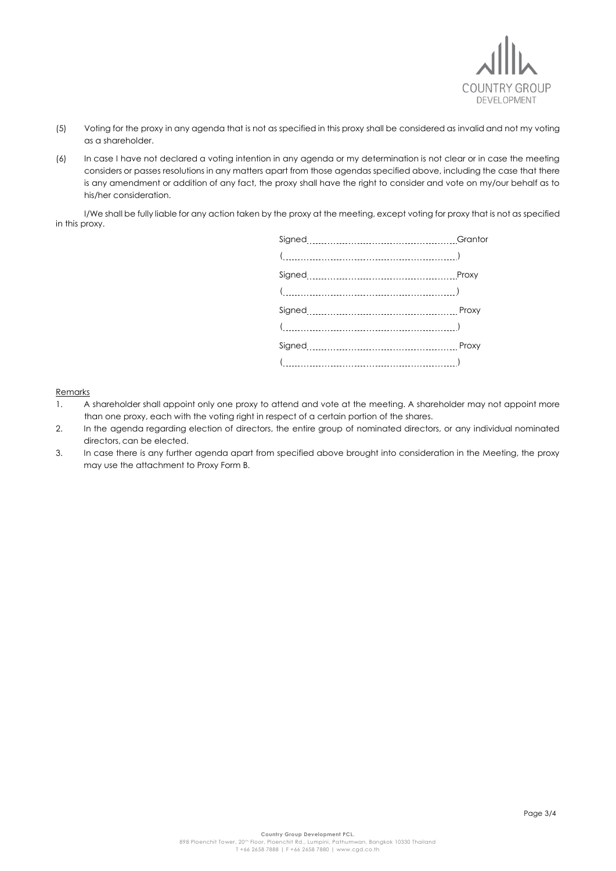

- (5) Voting for the proxy in any agenda that is not as specified in this proxy shall be considered as invalid and not my voting as a shareholder.
- (6) In case I have not declared a voting intention in any agenda or my determination is not clear or in case the meeting considers or passes resolutions in any matters apart from those agendas specified above, including the case that there is any amendment or addition of any fact, the proxy shall have the right to consider and vote on my/our behalf as to his/her consideration.

I/We shall be fully liable for any action taken by the proxy at the meeting, except voting for proxy that is not as specified in this proxy.

| Proxy |
|-------|
|       |
|       |
|       |
|       |
|       |
|       |

Remarks

- 1. A shareholder shall appoint only one proxy to attend and vote at the meeting. A shareholder may not appoint more than one proxy, each with the voting right in respect of a certain portion of the shares.
- 2. In the agenda regarding election of directors, the entire group of nominated directors, or any individual nominated directors, can be elected.
- 3. In case there is any further agenda apart from specified above brought into consideration in the Meeting, the proxy may use the attachment to Proxy Form B.